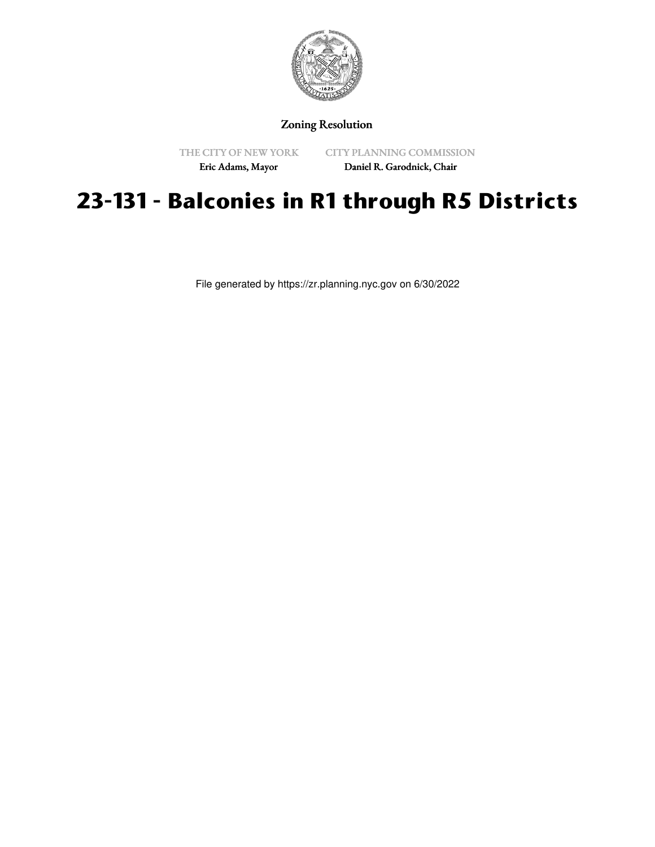

## Zoning Resolution

THE CITY OF NEW YORK Eric Adams, Mayor

CITY PLANNING COMMISSION

Daniel R. Garodnick, Chair

## **23-131 - Balconies in R1 through R5 Districts**

File generated by https://zr.planning.nyc.gov on 6/30/2022